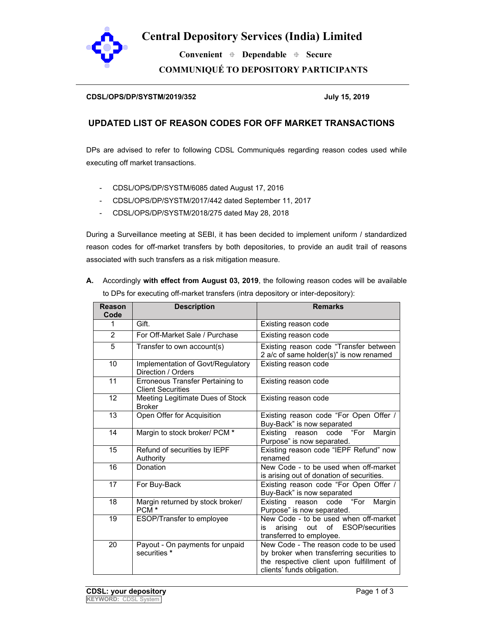

### **Central Depository Services (India) Limited**

 **Convenient Dependable Secure COMMUNIQUÉ TO DEPOSITORY PARTICIPANTS** 

#### **CDSL/OPS/DP/SYSTM/2019/352 July 15, 2019**

#### **UPDATED LIST OF REASON CODES FOR OFF MARKET TRANSACTIONS**

DPs are advised to refer to following CDSL Communiqués regarding reason codes used while executing off market transactions.

- CDSL/OPS/DP/SYSTM/6085 dated August 17, 2016
- CDSL/OPS/DP/SYSTM/2017/442 dated September 11, 2017
- CDSL/OPS/DP/SYSTM/2018/275 dated May 28, 2018

During a Surveillance meeting at SEBI, it has been decided to implement uniform / standardized reason codes for off-market transfers by both depositories, to provide an audit trail of reasons associated with such transfers as a risk mitigation measure.

**A.** Accordingly **with effect from August 03, 2019**, the following reason codes will be available to DPs for executing off-market transfers (intra depository or inter-depository):

| Reason<br>Code | <b>Description</b>                                           | <b>Remarks</b>                                                                                                                                                |
|----------------|--------------------------------------------------------------|---------------------------------------------------------------------------------------------------------------------------------------------------------------|
| 1              | Gift.                                                        | Existing reason code                                                                                                                                          |
| $\overline{2}$ | For Off-Market Sale / Purchase                               | Existing reason code                                                                                                                                          |
| $\overline{5}$ | Transfer to own account(s)                                   | Existing reason code "Transfer between<br>2 a/c of same holder(s)" is now renamed                                                                             |
| 10             | Implementation of Govt/Regulatory<br>Direction / Orders      | Existing reason code                                                                                                                                          |
| 11             | Erroneous Transfer Pertaining to<br><b>Client Securities</b> | Existing reason code                                                                                                                                          |
| 12             | Meeting Legitimate Dues of Stock<br><b>Broker</b>            | Existing reason code                                                                                                                                          |
| 13             | Open Offer for Acquisition                                   | Existing reason code "For Open Offer /<br>Buy-Back" is now separated                                                                                          |
| 14             | Margin to stock broker/ PCM *                                | code "For<br>Existing<br>Margin<br>reason<br>Purpose" is now separated.                                                                                       |
| 15             | Refund of securities by IEPF<br>Authority                    | Existing reason code "IEPF Refund" now<br>renamed                                                                                                             |
| 16             | Donation                                                     | New Code - to be used when off-market<br>is arising out of donation of securities.                                                                            |
| 17             | For Buy-Back                                                 | Existing reason code "For Open Offer /<br>Buy-Back" is now separated                                                                                          |
| 18             | Margin returned by stock broker/<br>PCM <sup>*</sup>         | Existing<br>code "For<br>Margin<br>reason<br>Purpose" is now separated.                                                                                       |
| 19             | ESOP/Transfer to employee                                    | New Code - to be used when off-market<br>of ESOP/securities<br>arising<br>out<br>is<br>transferred to employee.                                               |
| 20             | Payout - On payments for unpaid<br>securities *              | New Code - The reason code to be used<br>by broker when transferring securities to<br>the respective client upon fulfillment of<br>clients' funds obligation. |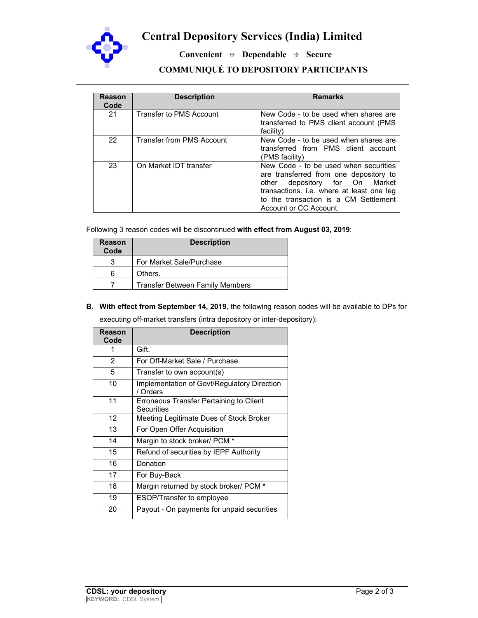

## **Central Depository Services (India) Limited**

 **Convenient Dependable Secure** 

### **COMMUNIQUÉ TO DEPOSITORY PARTICIPANTS**

| Reason<br>Code | <b>Description</b>        | <b>Remarks</b>                                                                                                                                                                                                                       |
|----------------|---------------------------|--------------------------------------------------------------------------------------------------------------------------------------------------------------------------------------------------------------------------------------|
| 21             | Transfer to PMS Account   | New Code - to be used when shares are<br>transferred to PMS client account (PMS<br>facility)                                                                                                                                         |
| 22             | Transfer from PMS Account | New Code - to be used when shares are<br>transferred from PMS client account<br>(PMS facility)                                                                                                                                       |
| 23             | On Market IDT transfer    | New Code - to be used when securities<br>are transferred from one depository to<br>depository for On Market<br>other<br>transactions. i.e. where at least one leg<br>to the transaction is a CM Settlement<br>Account or CC Account. |

Following 3 reason codes will be discontinued **with effect from August 03, 2019**:

| <b>Reason</b><br>Code | <b>Description</b>                     |
|-----------------------|----------------------------------------|
| 3                     | For Market Sale/Purchase               |
| 6                     | Others.                                |
|                       | <b>Transfer Between Family Members</b> |

# **B. With effect from September 14, 2019**, the following reason codes will be available to DPs for

executing off-market transfers (intra depository or inter-depository):

| Reason<br>Code    | <b>Description</b>                                      |
|-------------------|---------------------------------------------------------|
|                   | Gift.                                                   |
| $\overline{2}$    | For Off-Market Sale / Purchase                          |
| 5                 | Transfer to own account(s)                              |
| 10                | Implementation of Govt/Regulatory Direction<br>/ Orders |
| 11                | Erroneous Transfer Pertaining to Client<br>Securities   |
| $12 \overline{ }$ | Meeting Legitimate Dues of Stock Broker                 |
| 13                | For Open Offer Acquisition                              |
| 14                | Margin to stock broker/ PCM *                           |
| 15                | Refund of securities by IEPF Authority                  |
| 16                | Donation                                                |
| 17                | For Buy-Back                                            |
| 18                | Margin returned by stock broker/ PCM *                  |
| 19                | <b>ESOP/Transfer to employee</b>                        |
| 20                | Payout - On payments for unpaid securities              |